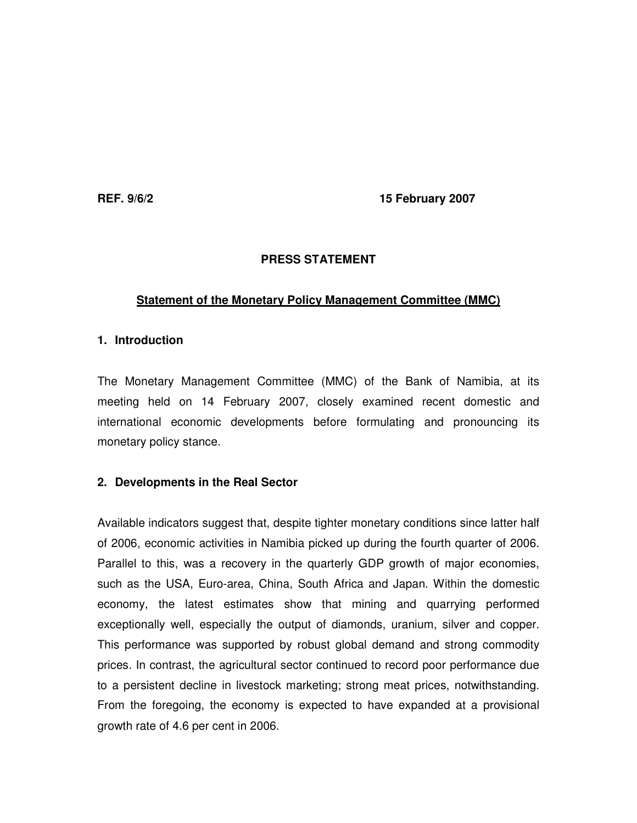**REF. 9/6/2 15 February 2007**

# **PRESS STATEMENT**

# **Statement of the Monetary Policy Management Committee (MMC)**

## **1. Introduction**

The Monetary Management Committee (MMC) of the Bank of Namibia, at its meeting held on 14 February 2007, closely examined recent domestic and international economic developments before formulating and pronouncing its monetary policy stance.

## **2. Developments in the Real Sector**

Available indicators suggest that, despite tighter monetary conditions since latter half of 2006, economic activities in Namibia picked up during the fourth quarter of 2006. Parallel to this, was a recovery in the quarterly GDP growth of major economies, such as the USA, Euro-area, China, South Africa and Japan. Within the domestic economy, the latest estimates show that mining and quarrying performed exceptionally well, especially the output of diamonds, uranium, silver and copper. This performance was supported by robust global demand and strong commodity prices. In contrast, the agricultural sector continued to record poor performance due to a persistent decline in livestock marketing; strong meat prices, notwithstanding. From the foregoing, the economy is expected to have expanded at a provisional growth rate of 4.6 per cent in 2006.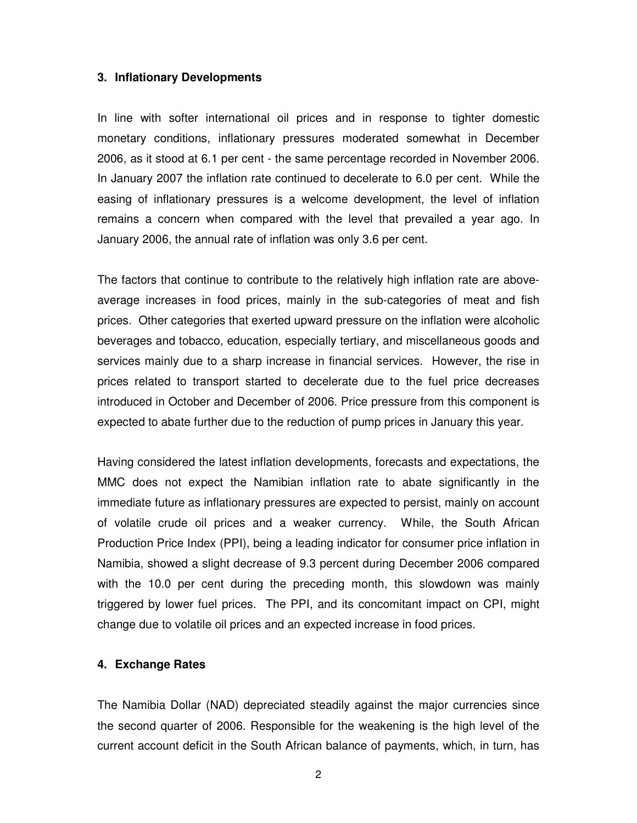#### **3. Inflationary Developments**

In line with softer international oil prices and in response to tighter domestic monetary conditions, inflationary pressures moderated somewhat in December 2006, as it stood at 6.1 per cent - the same percentage recorded in November 2006. In January 2007 the inflation rate continued to decelerate to 6.0 per cent. While the easing of inflationary pressures is a welcome development, the level of inflation remains a concern when compared with the level that prevailed a year ago. In January 2006, the annual rate of inflation was only 3.6 per cent.

The factors that continue to contribute to the relatively high inflation rate are aboveaverage increases in food prices, mainly in the sub-categories of meat and fish prices. Other categories that exerted upward pressure on the inflation were alcoholic beverages and tobacco, education, especially tertiary, and miscellaneous goods and services mainly due to a sharp increase in financial services. However, the rise in prices related to transport started to decelerate due to the fuel price decreases introduced in October and December of 2006. Price pressure from this component is expected to abate further due to the reduction of pump prices in January this year.

Having considered the latest inflation developments, forecasts and expectations, the MMC does not expect the Namibian inflation rate to abate significantly in the immediate future as inflationary pressures are expected to persist, mainly on account of volatile crude oil prices and a weaker currency. While, the South African Production Price Index (PPI), being a leading indicator for consumer price inflation in Namibia, showed a slight decrease of 9.3 percent during December 2006 compared with the 10.0 per cent during the preceding month, this slowdown was mainly triggered by lower fuel prices. The PPI, and its concomitant impact on CPI, might change due to volatile oil prices and an expected increase in food prices.

#### **4. Exchange Rates**

The Namibia Dollar (NAD) depreciated steadily against the major currencies since the second quarter of 2006. Responsible for the weakening is the high level of the current account deficit in the South African balance of payments, which, in turn, has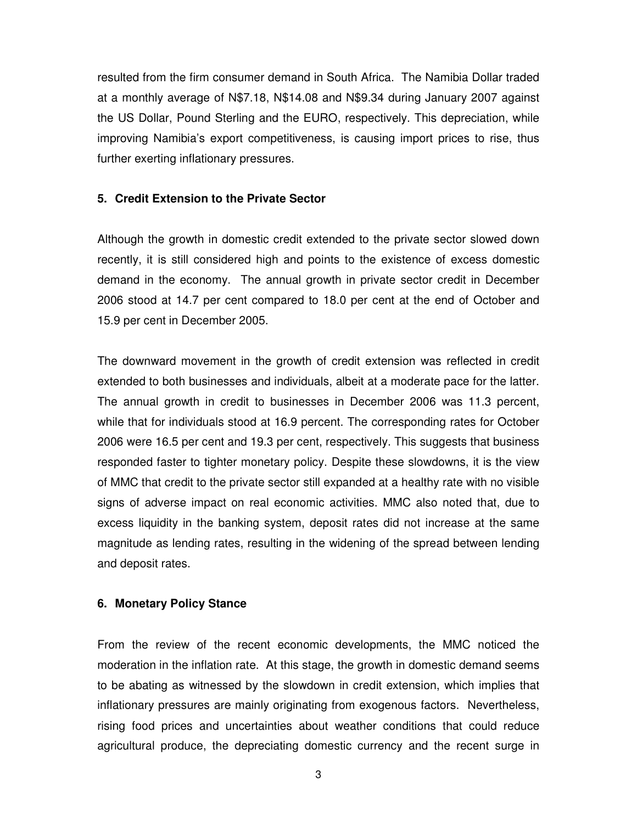resulted from the firm consumer demand in South Africa. The Namibia Dollar traded at a monthly average of N\$7.18, N\$14.08 and N\$9.34 during January 2007 against the US Dollar, Pound Sterling and the EURO, respectively. This depreciation, while improving Namibia's export competitiveness, is causing import prices to rise, thus further exerting inflationary pressures.

### **5. Credit Extension to the Private Sector**

Although the growth in domestic credit extended to the private sector slowed down recently, it is still considered high and points to the existence of excess domestic demand in the economy. The annual growth in private sector credit in December 2006 stood at 14.7 per cent compared to 18.0 per cent at the end of October and 15.9 per cent in December 2005.

The downward movement in the growth of credit extension was reflected in credit extended to both businesses and individuals, albeit at a moderate pace for the latter. The annual growth in credit to businesses in December 2006 was 11.3 percent, while that for individuals stood at 16.9 percent. The corresponding rates for October 2006 were 16.5 per cent and 19.3 per cent, respectively. This suggests that business responded faster to tighter monetary policy. Despite these slowdowns, it is the view of MMC that credit to the private sector still expanded at a healthy rate with no visible signs of adverse impact on real economic activities. MMC also noted that, due to excess liquidity in the banking system, deposit rates did not increase at the same magnitude as lending rates, resulting in the widening of the spread between lending and deposit rates.

### **6. Monetary Policy Stance**

From the review of the recent economic developments, the MMC noticed the moderation in the inflation rate. At this stage, the growth in domestic demand seems to be abating as witnessed by the slowdown in credit extension, which implies that inflationary pressures are mainly originating from exogenous factors. Nevertheless, rising food prices and uncertainties about weather conditions that could reduce agricultural produce, the depreciating domestic currency and the recent surge in